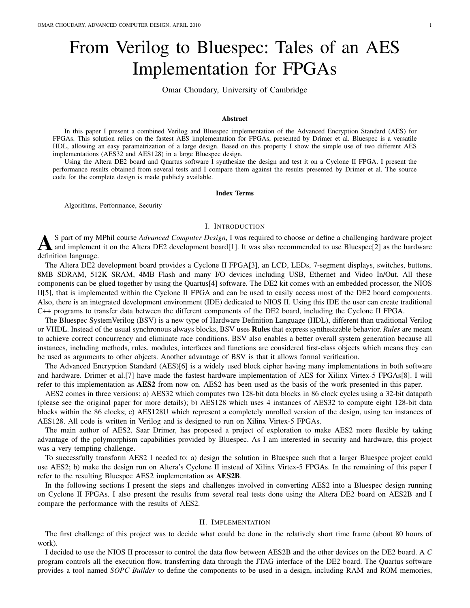# From Verilog to Bluespec: Tales of an AES Implementation for FPGAs

Omar Choudary, University of Cambridge

## Abstract

In this paper I present a combined Verilog and Bluespec implementation of the Advanced Encryption Standard (AES) for FPGAs. This solution relies on the fastest AES implementation for FPGAs, presented by Drimer et al. Bluespec is a versatile HDL, allowing an easy parametrization of a large design. Based on this property I show the simple use of two different AES implementations (AES32 and AES128) in a large Bluespec design.

Using the Altera DE2 board and Quartus software I synthesize the design and test it on a Cyclone II FPGA. I present the performance results obtained from several tests and I compare them against the results presented by Drimer et al. The source code for the complete design is made publicly available.

#### Index Terms

Algorithms, Performance, Security

## I. INTRODUCTION

A S part of my N<br>definition language. S part of my MPhil course *Advanced Computer Design*, I was required to choose or define a challenging hardware project and implement it on the Altera DE2 development board[1]. It was also recommended to use Bluespec[2] as the hardware

The Altera DE2 development board provides a Cyclone II FPGA[3], an LCD, LEDs, 7-segment displays, switches, buttons, 8MB SDRAM, 512K SRAM, 4MB Flash and many I/O devices including USB, Ethernet and Video In/Out. All these components can be glued together by using the Quartus[4] software. The DE2 kit comes with an embedded processor, the NIOS II[5], that is implemented within the Cyclone II FPGA and can be used to easily access most of the DE2 board components. Also, there is an integrated development environment (IDE) dedicated to NIOS II. Using this IDE the user can create traditional C++ programs to transfer data between the different components of the DE2 board, including the Cyclone II FPGA.

The Bluespec SystemVerilog (BSV) is a new type of Hardware Definition Language (HDL), different than traditional Verilog or VHDL. Instead of the usual synchronous always blocks, BSV uses Rules that express synthesizable behavior. *Rules* are meant to achieve correct concurrency and eliminate race conditions. BSV also enables a better overall system generation because all instances, including methods, rules, modules, interfaces and functions are considered first-class objects which means they can be used as arguments to other objects. Another advantage of BSV is that it allows formal verification.

The Advanced Encryption Standard (AES)[6] is a widely used block cipher having many implementations in both software and hardware. Drimer et al.[7] have made the fastest hardware implementation of AES for Xilinx Virtex-5 FPGAs[8]. I will refer to this implementation as AES2 from now on. AES2 has been used as the basis of the work presented in this paper.

AES2 comes in three versions: a) AES32 which computes two 128-bit data blocks in 86 clock cycles using a 32-bit datapath (please see the original paper for more details); b) AES128 which uses 4 instances of AES32 to compute eight 128-bit data blocks within the 86 clocks; c) AES128U which represent a completely unrolled version of the design, using ten instances of AES128. All code is written in Verilog and is designed to run on Xilinx Virtex-5 FPGAs.

The main author of AES2, Saar Drimer, has proposed a project of exploration to make AES2 more flexible by taking advantage of the polymorphism capabilities provided by Bluespec. As I am interested in security and hardware, this project was a very tempting challenge.

To successfully transform AES2 I needed to: a) design the solution in Bluespec such that a larger Bluespec project could use AES2; b) make the design run on Altera's Cyclone II instead of Xilinx Virtex-5 FPGAs. In the remaining of this paper I refer to the resulting Bluespec AES2 implementation as AES2B.

In the following sections I present the steps and challenges involved in converting AES2 into a Bluespec design running on Cyclone II FPGAs. I also present the results from several real tests done using the Altera DE2 board on AES2B and I compare the performance with the results of AES2.

# II. IMPLEMENTATION

The first challenge of this project was to decide what could be done in the relatively short time frame (about 80 hours of work).

I decided to use the NIOS II processor to control the data flow between AES2B and the other devices on the DE2 board. A *C* program controls all the execution flow, transferring data through the JTAG interface of the DE2 board. The Quartus software provides a tool named *SOPC Builder* to define the components to be used in a design, including RAM and ROM memories,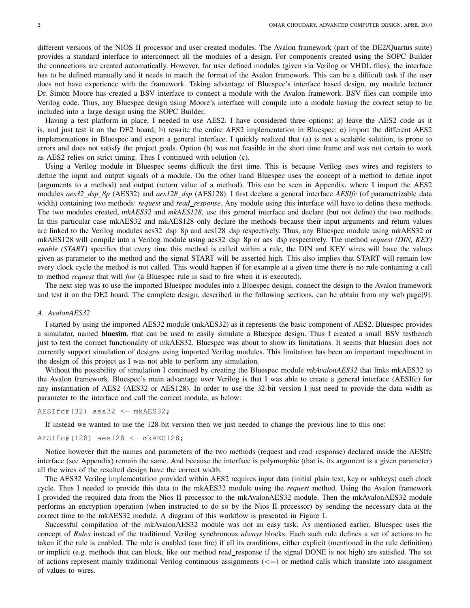different versions of the NIOS II processor and user created modules. The Avalon framework (part of the DE2/Quartus suite) provides a standard interface to interconnect all the modules of a design. For components created using the SOPC Builder the connections are created automatically. However, for user defined modules (given via Verilog or VHDL files), the interface has to be defined manually and it needs to match the format of the Avalon framework. This can be a difficult task if the user does not have experience with the framework. Taking advantage of Bluespec's interface based design, my module lecturer Dr. Simon Moore has created a BSV interface to connect a module with the Avalon framework. BSV files can compile into Verilog code. Thus, any Bluespec design using Moore's interface will compile into a module having the correct setup to be included into a large design using the SOPC Builder.

Having a test platform in place, I needed to use AES2. I have considered three options: a) leave the AES2 code as it is, and just test it on the DE2 board; b) rewrite the entire AES2 implementation in Bluespec; c) import the different AES2 implementations in Bluespec and export a general interface. I quickly realized that (a) is not a scalable solution, is prone to errors and does not satisfy the project goals. Option (b) was not feasible in the short time frame and was not certain to work as AES2 relies on strict timing. Thus I continued with solution (c).

Using a Verilog module in Bluespec seems difficult the first time. This is because Verilog uses wires and registers to define the input and output signals of a module. On the other hand Bluespec uses the concept of a method to define input (arguments to a method) and output (return value of a method). This can be seen in Appendix, where I import the AES2 modules *aes32 dsp 8p* (AES32) and *aes128 dsp* (AES128). I first declare a general interface *AESIfc* (of parametrizable data width) containing two methods: *request* and *read response*. Any module using this interface will have to define these methods. The two modules created, *mkAES32* and *mkAES128*, use this general interface and declare (but not define) the two methods. In this particular case mkAES32 and mkAES128 only declare the methods because their input arguments and return values are linked to the Verilog modules aes32 dsp 8p and aes128 dsp respectively. Thus, any Bluespec module using mkAES32 or mkAES128 will compile into a Verilog module using aes32\_dsp\_8p or aes\_dsp respectively. The method *request (DIN, KEY) enable (START)* specifies that every time this method is called within a rule, the DIN and KEY wires will have the values given as parameter to the method and the signal START will be asserted high. This also implies that START will remain low every clock cycle the method is not called. This would happen if for example at a given time there is no rule containing a call to method *request* that will *fire* (a Bluespec rule is said to fire when it is executed).

The next step was to use the imported Bluespec modules into a Bluespec design, connect the design to the Avalon framework and test it on the DE2 board. The complete design, described in the following sections, can be obtain from my web page[9].

# *A. AvalonAES32*

I started by using the imported AES32 module (mkAES32) as it represents the basic component of AES2. Bluespec provides a simulator, named **bluesim**, that can be used to easily simulate a Bluespec design. Thus I created a small BSV testbench just to test the correct functionality of mkAES32. Bluespec was about to show its limitations. It seems that bluesim does not currently support simulation of designs using imported Verilog modules. This limitation has been an important impediment in the design of this project as I was not able to perform any simulation.

Without the possibility of simulation I continued by creating the Bluespec module *mkAvalonAES32* that links mkAES32 to the Avalon framework. Bluespec's main advantage over Verilog is that I was able to create a general interface (AESIfc) for any instantiation of AES2 (AES32 or AES128). In order to use the 32-bit version I just need to provide the data width as parameter to the interface and call the correct module, as below:

 $AESTfc$   $(32)$  aes32 <- mkAES32;

If instead we wanted to use the 128-bit version then we just needed to change the previous line to this one:

$$
AESIfc#(128) aes128 \leftarrow mkAES128;
$$

Notice however that the names and parameters of the two methods (request and read response) declared inside the AESIfc interface (see Appendix) remain the same. And because the interface is polymorphic (that is, its argument is a given parameter) all the wires of the resulted design have the correct width.

The AES32 Verilog implementation provided within AES2 requires input data (initial plain text, key or subkeys) each clock cycle. Thus I needed to provide this data to the mkAES32 module using the *request* method. Using the Avalon framework I provided the required data from the Nios II processor to the mkAvalonAES32 module. Then the mkAvalonAES32 module performs an encryption operation (when instructed to do so by the Nios II processor) by sending the necessary data at the correct time to the mkAES32 module. A diagram of this workflow is presented in Figure 1.

Successful compilation of the mkAvalonAES32 module was not an easy task. As mentioned earlier, Bluespec uses the concept of *Rules* instead of the traditional Verilog synchronous *always* blocks. Each such rule defines a set of actions to be taken if the rule is enabled. The rule is enabled (can fire) if all its conditions, either explicit (mentioned in the rule definition) or implicit (e.g. methods that can block, like our method read response if the signal DONE is not high) are satisfied. The set of actions represent mainly traditional Verilog continuous assignments  $(<=)$  or method calls which translate into assignment of values to wires.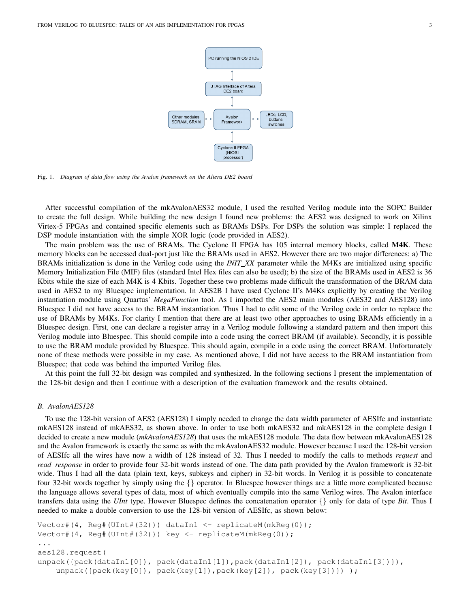

Fig. 1. *Diagram of data flow using the Avalon framework on the Altera DE2 board*

After successful compilation of the mkAvalonAES32 module, I used the resulted Verilog module into the SOPC Builder to create the full design. While building the new design I found new problems: the AES2 was designed to work on Xilinx Virtex-5 FPGAs and contained specific elements such as BRAMs DSPs. For DSPs the solution was simple: I replaced the DSP module instantiation with the simple XOR logic (code provided in AES2).

The main problem was the use of BRAMs. The Cyclone II FPGA has 105 internal memory blocks, called M4K. These memory blocks can be accessed dual-port just like the BRAMs used in AES2. However there are two major differences: a) The BRAMs initialization is done in the Verilog code using the *INIT XX* parameter while the M4Ks are initialized using specific Memory Initialization File (MIF) files (standard Intel Hex files can also be used); b) the size of the BRAMs used in AES2 is 36 Kbits while the size of each M4K is 4 Kbits. Together these two problems made difficult the transformation of the BRAM data used in AES2 to my Bluespec implementation. In AES2B I have used Cyclone II's M4Ks explicitly by creating the Verilog instantiation module using Quartus' *MegaFunction* tool. As I imported the AES2 main modules (AES32 and AES128) into Bluespec I did not have access to the BRAM instantiation. Thus I had to edit some of the Verilog code in order to replace the use of BRAMs by M4Ks. For clarity I mention that there are at least two other approaches to using BRAMs efficiently in a Bluespec design. First, one can declare a register array in a Verilog module following a standard pattern and then import this Verilog module into Bluespec. This should compile into a code using the correct BRAM (if available). Secondly, it is possible to use the BRAM module provided by Bluespec. This should again, compile in a code using the correct BRAM. Unfortunately none of these methods were possible in my case. As mentioned above, I did not have access to the BRAM instantiation from Bluespec; that code was behind the imported Verilog files.

At this point the full 32-bit design was compiled and synthesized. In the following sections I present the implementation of the 128-bit design and then I continue with a description of the evaluation framework and the results obtained.

## *B. AvalonAES128*

To use the 128-bit version of AES2 (AES128) I simply needed to change the data width parameter of AESIfc and instantiate mkAES128 instead of mkAES32, as shown above. In order to use both mkAES32 and mkAES128 in the complete design I decided to create a new module (*mkAvalonAES128*) that uses the mkAES128 module. The data flow between mkAvalonAES128 and the Avalon framework is exactly the same as with the mkAvalonAES32 module. However because I used the 128-bit version of AESIfc all the wires have now a width of 128 instead of 32. Thus I needed to modify the calls to methods *request* and *read response* in order to provide four 32-bit words instead of one. The data path provided by the Avalon framework is 32-bit wide. Thus I had all the data (plain text, keys, subkeys and cipher) in 32-bit words. In Verilog it is possible to concatenate four 32-bit words together by simply using the  $\{\}$  operator. In Bluespec however things are a little more complicated because the language allows several types of data, most of which eventually compile into the same Verilog wires. The Avalon interface transfers data using the *UInt* type. However Bluespec defines the concatenation operator {} only for data of type *Bit*. Thus I needed to make a double conversion to use the 128-bit version of AESIfc, as shown below:

```
Vector#(4, Req#(UInt#(32))) dataIn1 <- replicateM(mkReq(0));
Vector#(4, Reg#(UInt#(32))) key <- replicateM(mkReg(0));
...
aes128.request(
unpack({pack(dataIn1[0]), pack(dataIn1[1]), pack(dataIn1[2]), pack(dataIn1[3])}),
    unpack({pack(key[0]), pack(key[1]),pack(key[2]), pack(key[3])}));
```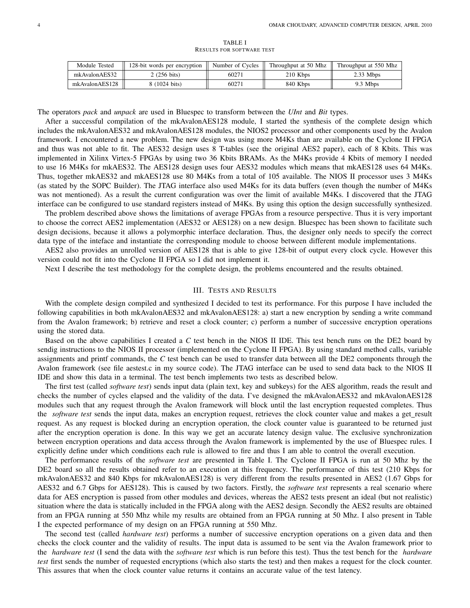| Module Tested  | 128-bit words per encryption | Number of Cycles | Throughput at 50 Mhz | Throughput at 550 Mhz |
|----------------|------------------------------|------------------|----------------------|-----------------------|
| mkAvalonAES32  | 2 (256 bits)                 | 60271            | 210 Kbps             | $2.33$ Mbps           |
| mkAvalonAES128 | 8 (1024 bits)                | 60271            | 840 Kbps             | 9.3 Mbps              |

TABLE I RESULTS FOR SOFTWARE TEST

The operators *pack* and *unpack* are used in Bluespec to transform between the *UInt* and *Bit* types.

After a successful compilation of the mkAvalonAES128 module, I started the synthesis of the complete design which includes the mkAvalonAES32 and mkAvalonAES128 modules, the NIOS2 processor and other components used by the Avalon framework. I encountered a new problem. The new design was using more M4Ks than are available on the Cyclone II FPGA and thus was not able to fit. The AES32 design uses 8 T-tables (see the original AES2 paper), each of 8 Kbits. This was implemented in Xilinx Virtex-5 FPGAs by using two 36 Kbits BRAMs. As the M4Ks provide 4 Kbits of memory I needed to use 16 M4Ks for mkAES32. The AES128 design uses four AES32 modules which means that mkAES128 uses 64 M4Ks. Thus, together mkAES32 and mkAES128 use 80 M4Ks from a total of 105 available. The NIOS II processor uses 3 M4Ks (as stated by the SOPC Builder). The JTAG interface also used M4Ks for its data buffers (even though the number of M4Ks was not mentioned). As a result the current configuration was over the limit of available M4Ks. I discovered that the JTAG interface can be configured to use standard registers instead of M4Ks. By using this option the design successfully synthesized.

The problem described above shows the limitations of average FPGAs from a resource perspective. Thus it is very important to choose the correct AES2 implementation (AES32 or AES128) on a new design. Bluespec has been shown to facilitate such design decisions, because it allows a polymorphic interface declaration. Thus, the designer only needs to specify the correct data type of the inteface and instantiate the corresponding module to choose between different module implementations.

AES2 also provides an unrolled version of AES128 that is able to give 128-bit of output every clock cycle. However this version could not fit into the Cyclone II FPGA so I did not implement it.

Next I describe the test methodology for the complete design, the problems encountered and the results obtained.

# III. TESTS AND RESULTS

With the complete design compiled and synthesized I decided to test its performance. For this purpose I have included the following capabilities in both mkAvalonAES32 and mkAvalonAES128: a) start a new encryption by sending a write command from the Avalon framework; b) retrieve and reset a clock counter; c) perform a number of successive encryption operations using the stored data.

Based on the above capabilities I created a *C* test bench in the NIOS II IDE. This test bench runs on the DE2 board by sendig instructions to the NIOS II processor (implemented on the Cyclone II FPGA). By using standard method calls, variable assignments and printf commands, the *C* test bench can be used to transfer data between all the DE2 components through the Avalon framework (see file aestest.c in my source code). The JTAG interface can be used to send data back to the NIOS II IDE and show this data in a terminal. The test bench implements two tests as described below.

The first test (called *software test*) sends input data (plain text, key and subkeys) for the AES algorithm, reads the result and checks the number of cycles elapsed and the validity of the data. I've designed the mkAvalonAES32 and mkAvalonAES128 modules such that any request through the Avalon framework will block until the last encryption requested completes. Thus the *software test* sends the input data, makes an encryption request, retrieves the clock counter value and makes a get\_result request. As any request is blocked during an encryption operation, the clock counter value is guaranteed to be returned just after the encryption operation is done. In this way we get an accurate latency design value. The exclusive synchronization between encryption operations and data access through the Avalon framework is implemented by the use of Bluespec rules. I explicitly define under which conditions each rule is allowed to fire and thus I am able to control the overall execution.

The performance results of the *software test* are presented in Table I. The Cyclone II FPGA is run at 50 Mhz by the DE2 board so all the results obtained refer to an execution at this frequency. The performance of this test (210 Kbps for mkAvalonAES32 and 840 Kbps for mkAvalonAES128) is very different from the results presented in AES2 (1.67 Gbps for AES32 and 6.7 Gbps for AES128). This is caused by two factors. Firstly, the *software test* represents a real scenario where data for AES encryption is passed from other modules and devices, whereas the AES2 tests present an ideal (but not realistic) situation where the data is statically included in the FPGA along with the AES2 design. Secondly the AES2 results are obtained from an FPGA running at 550 Mhz while my results are obtained from an FPGA running at 50 Mhz. I also present in Table I the expected performance of my design on an FPGA running at 550 Mhz.

The second test (called *hardware test*) performs a number of successive encryption operations on a given data and then checks the clock counter and the validity of results. The input data is assumed to be sent via the Avalon framework prior to the *hardware test* (I send the data with the *software test* which is run before this test). Thus the test bench for the *hardware test* first sends the number of requested encryptions (which also starts the test) and then makes a request for the clock counter. This assures that when the clock counter value returns it contains an accurate value of the test latency.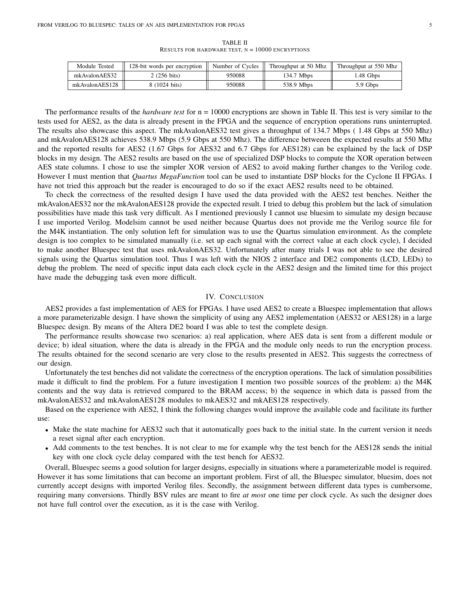| Module Tested  | 128-bit words per encryption | Number of Cycles | Throughput at 50 Mhz | Throughput at 550 Mhz |
|----------------|------------------------------|------------------|----------------------|-----------------------|
| mkAvalonAES32  | 2 (256 bits)                 | 950088           | 134.7 Mbps           | .48 Gbps              |
| mkAvalonAES128 | 8 (1024 bits)                | 950088           | 538.9 Mbps           | 5.9 Gbps              |

TABLE II RESULTS FOR HARDWARE TEST,  $N = 10000$  ENCRYPTIONS

The performance results of the *hardware test* for  $n = 10000$  encryptions are shown in Table II. This test is very similar to the tests used for AES2, as the data is already present in the FPGA and the sequence of encryption operations runs uninterrupted. The results also showcase this aspect. The mkAvalonAES32 test gives a throughput of 134.7 Mbps ( 1.48 Gbps at 550 Mhz) and mkAvalonAES128 achieves 538.9 Mbps (5.9 Gbps at 550 Mhz). The difference betweeen the expected results at 550 Mhz and the reported results for AES2 (1.67 Gbps for AES32 and 6.7 Gbps for AES128) can be explained by the lack of DSP blocks in my design. The AES2 results are based on the use of specialized DSP blocks to compute the XOR operation between AES state columns. I chose to use the simpler XOR version of AES2 to avoid making further changes to the Verilog code. However I must mention that *Quartus MegaFunction* tool can be used to instantiate DSP blocks for the Cyclone II FPGAs. I have not tried this approach but the reader is encouraged to do so if the exact AES2 results need to be obtained.

To check the correctness of the resulted design I have used the data provided with the AES2 test benches. Neither the mkAvalonAES32 nor the mkAvalonAES128 provide the expected result. I tried to debug this problem but the lack of simulation possibilities have made this task very difficult. As I mentioned previously I cannot use bluesim to simulate my design because I use imported Verilog. Modelsim cannot be used neither because Quartus does not provide me the Verilog source file for the M4K instantiation. The only solution left for simulation was to use the Quartus simulation environment. As the complete design is too complex to be simulated manually (i.e. set up each signal with the correct value at each clock cycle), I decided to make another Bluespec test that uses mkAvalonAES32. Unfortunately after many trials I was not able to see the desired signals using the Quartus simulation tool. Thus I was left with the NIOS 2 interface and DE2 components (LCD, LEDs) to debug the problem. The need of specific input data each clock cycle in the AES2 design and the limited time for this project have made the debugging task even more difficult.

## IV. CONCLUSION

AES2 provides a fast implementation of AES for FPGAs. I have used AES2 to create a Bluespec implementation that allows a more parameterizable design. I have shown the simplicity of using any AES2 implementation (AES32 or AES128) in a large Bluespec design. By means of the Altera DE2 board I was able to test the complete design.

The performance results showcase two scenarios: a) real application, where AES data is sent from a different module or device; b) ideal situation, where the data is already in the FPGA and the module only needs to run the encryption process. The results obtained for the second scenario are very close to the results presented in AES2. This suggests the correctness of our design.

Unfortunately the test benches did not validate the correctness of the encryption operations. The lack of simulation possibilities made it difficult to find the problem. For a future investigation I mention two possible sources of the problem: a) the M4K contents and the way data is retrieved compared to the BRAM access; b) the sequence in which data is passed from the mkAvalonAES32 and mkAvalonAES128 modules to mkAES32 and mkAES128 respectively.

Based on the experience with AES2, I think the following changes would improve the available code and facilitate its further use:

- Make the state machine for AES32 such that it automatically goes back to the initial state. In the current version it needs a reset signal after each encryption.
- Add comments to the test benches. It is not clear to me for example why the test bench for the AES128 sends the initial key with one clock cycle delay compared with the test bench for AES32.

Overall, Bluespec seems a good solution for larger designs, especially in situations where a parameterizable model is required. However it has some limitations that can become an important problem. First of all, the Bluespec simulator, bluesim, does not currently accept designs with imported Verilog files. Secondly, the assignment between different data types is cumbersome, requiring many conversions. Thirdly BSV rules are meant to fire *at most* one time per clock cycle. As such the designer does not have full control over the execution, as it is the case with Verilog.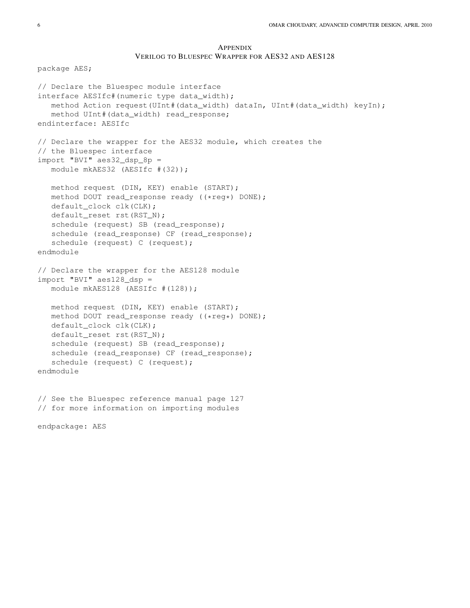# APPENDIX VERILOG TO BLUESPEC WRAPPER FOR AES32 AND AES128

package AES; // Declare the Bluespec module interface interface AESIfc#(numeric type data\_width); method Action request(UInt#(data\_width) dataIn, UInt#(data\_width) keyIn); method UInt#(data\_width) read\_response; endinterface: AESIfc // Declare the wrapper for the AES32 module, which creates the // the Bluespec interface import "BVI" aes32\_dsp\_8p = module mkAES32 (AESIfc #(32)); method request (DIN, KEY) enable (START); method DOUT read\_response ready ((\*reg\*) DONE); default\_clock clk(CLK); default\_reset rst(RST\_N); schedule (request) SB (read\_response); schedule (read\_response) CF (read\_response); schedule (request) C (request); endmodule // Declare the wrapper for the AES128 module import "BVI" aes128\_dsp = module mkAES128 (AESIfc #(128)); method request (DIN, KEY) enable (START); method DOUT read\_response ready ((\*reg\*) DONE); default\_clock clk(CLK); default reset rst(RST\_N); schedule (request) SB (read\_response); schedule (read\_response) CF (read\_response); schedule (request) C (request); endmodule // See the Bluespec reference manual page 127 // for more information on importing modules endpackage: AES